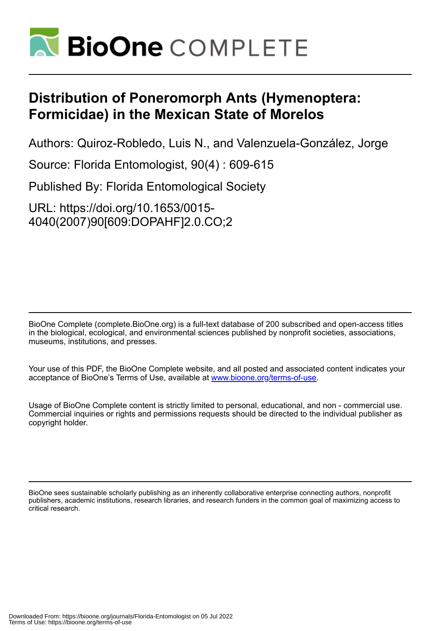

# **Distribution of Poneromorph Ants (Hymenoptera: Formicidae) in the Mexican State of Morelos**

Authors: Quiroz-Robledo, Luis N., and Valenzuela-González, Jorge

Source: Florida Entomologist, 90(4) : 609-615

Published By: Florida Entomological Society

URL: https://doi.org/10.1653/0015- 4040(2007)90[609:DOPAHF]2.0.CO;2

BioOne Complete (complete.BioOne.org) is a full-text database of 200 subscribed and open-access titles in the biological, ecological, and environmental sciences published by nonprofit societies, associations, museums, institutions, and presses.

Your use of this PDF, the BioOne Complete website, and all posted and associated content indicates your acceptance of BioOne's Terms of Use, available at www.bioone.org/terms-of-use.

Usage of BioOne Complete content is strictly limited to personal, educational, and non - commercial use. Commercial inquiries or rights and permissions requests should be directed to the individual publisher as copyright holder.

BioOne sees sustainable scholarly publishing as an inherently collaborative enterprise connecting authors, nonprofit publishers, academic institutions, research libraries, and research funders in the common goal of maximizing access to critical research.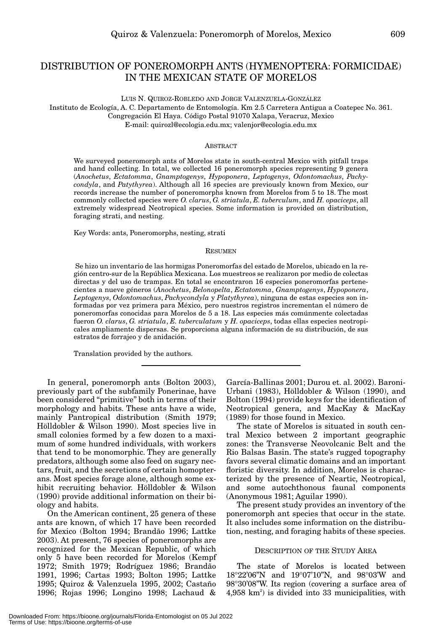## DISTRIBUTION OF PONEROMORPH ANTS (HYMENOPTERA: FORMICIDAE) IN THE MEXICAN STATE OF MORELOS

LUIS N. QUIROZ-ROBLEDO AND JORGE VALENZUELA-GONZÁLEZ Instituto de Ecología, A. C. Departamento de Entomología. Km 2.5 Carretera Antigua a Coatepec No. 361. Congregación El Haya. Código Postal 91070 Xalapa, Veracruz, Mexico

E-mail: quirozl@ecologia.edu.mx; valenjor@ecologia.edu.mx

#### ABSTRACT

We surveyed poneromorph ants of Morelos state in south-central Mexico with pitfall traps and hand collecting. In total, we collected 16 poneromorph species representing 9 genera (*Anochetus*, *Ectatomma*, *Gnamptogenys*, *Hypoponera*, *Leptogenys*, *Odontomachus*, *Pachycondyla*, and *Patythyrea*). Although all 16 species are previously known from Mexico, our records increase the number of poneromorphs known from Morelos from 5 to 18. The most commonly collected species were *O. clarus*, *G. striatula*, *E. tuberculum*, and *H. opaciceps*, all extremely widespread Neotropical species. Some information is provided on distribution, foraging strati, and nesting.

Key Words: ants, Poneromorphs, nesting, strati

### **RESUMEN**

Se hizo un inventario de las hormigas Poneromorfas del estado de Morelos, ubicado en la región centro-sur de la República Mexicana. Los muestreos se realizaron por medio de colectas directas y del uso de trampas. En total se encontraron 16 especies poneromorfas pertenecientes a nueve géneros (*Anochetus*, *Belonopelta*, *Ectatomma*, *Gnamptogenys*, *Hypoponera*, *Leptogenys*, *Odontomachus*, *Pachycondyla* y *Platythyrea*), ninguna de estas especies son informadas por vez primera para México, pero nuestros registros incrementan el número de poneromorfas conocidas para Morelos de 5 a 18. Las especies más comúnmente colectadas fueron *O. clarus*, *G. striatula*, *E. tuberculatum* y *H. opaciceps*, todas ellas especies neotropicales ampliamente dispersas. Se proporciona alguna información de su distribución, de sus estratos de forrajeo y de anidación.

Translation provided by the authors.

In general, poneromorph ants (Bolton 2003), previously part of the subfamily Ponerinae, have been considered "primitive" both in terms of their morphology and habits. These ants have a wide, mainly Pantropical distribution (Smith 1979; Hölldobler & Wilson 1990). Most species live in small colonies formed by a few dozen to a maximum of some hundred individuals, with workers that tend to be monomorphic. They are generally predators, although some also feed on sugary nectars, fruit, and the secretions of certain homopterans. Most species forage alone, although some exhibit recruiting behavior. Hölldobler & Wilson (1990) provide additional information on their biology and habits.

On the American continent, 25 genera of these ants are known, of which 17 have been recorded for Mexico (Bolton 1994; Brandão 1996; Lattke 2003). At present, 76 species of poneromorphs are recognized for the Mexican Republic, of which only 5 have been recorded for Morelos (Kempf 1972; Smith 1979; Rodríguez 1986; Brandão 1991, 1996; Cartas 1993; Bolton 1995; Lattke 1995; Quiroz & Valenzuela 1995, 2002; Castaño 1996; Rojas 1996; Longino 1998; Lachaud &

García-Ballinas 2001; Durou et. al. 2002). Baroni-Urbani (1983), Hölldobler & Wilson (1990), and Bolton (1994) provide keys for the identification of Neotropical genera, and MacKay & MacKay (1989) for those found in Mexico.

The state of Morelos is situated in south central Mexico between 2 important geographic zones: the Transverse Neovolcanic Belt and the Rio Balsas Basin. The state's rugged topography favors several climatic domains and an important floristic diversity. In addition, Morelos is characterized by the presence of Neartic, Neotropical, and some autochthonous faunal components (Anonymous 1981; Aguilar 1990).

The present study provides an inventory of the poneromorph ant species that occur in the state. It also includes some information on the distribution, nesting, and foraging habits of these species.

#### DESCRIPTION OF THE STUDY AREA

The state of Morelos is located between 18°22'06"N and 19°07'10"N, and 98°03'W and 98°30'08"W. Its region (covering a surface area of  $4,958 \text{ km}^2$ ) is divided into 33 municipalities, with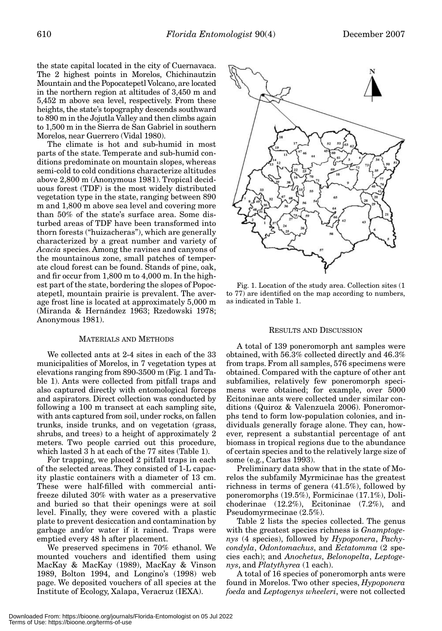the state capital located in the city of Cuernavaca. The 2 highest points in Morelos, Chichinautzin Mountain and the Popocatepetl Volcano, are located in the northern region at altitudes of 3,450 m and 5,452 m above sea level, respectively. From these heights, the state's topography descends southward to 890 m in the Jojutla Valley and then climbs again to 1,500 m in the Sierra de San Gabriel in southern Morelos, near Guerrero (Vidal 1980).

The climate is hot and sub-humid in most parts of the state. Temperate and sub-humid conditions predominate on mountain slopes, whereas semi-cold to cold conditions characterize altitudes above 2,800 m (Anonymous 1981). Tropical deciduous forest (TDF) is the most widely distributed vegetation type in the state, ranging between 890 m and 1,800 m above sea level and covering more than 50% of the state's surface area. Some disturbed areas of TDF have been transformed into thorn forests ("huizacheras"), which are generally characterized by a great number and variety of *Acacia* species. Among the ravines and canyons of the mountainous zone, small patches of temperate cloud forest can be found. Stands of pine, oak, and fir occur from 1,800 m to 4,000 m. In the highest part of the state, bordering the slopes of Popocatepetl, mountain prairie is prevalent. The average frost line is located at approximately 5,000 m (Miranda & Hernández 1963; Rzedowski 1978; Anonymous 1981).

#### MATERIALS AND METHODS

We collected ants at 2-4 sites in each of the 33 municipalities of Morelos, in 7 vegetation types at elevations ranging from 890-3500 m (Fig. 1 and Table 1). Ants were collected from pitfall traps and also captured directly with entomological forceps and aspirators. Direct collection was conducted by following a 100 m transect at each sampling site, with ants captured from soil, under rocks, on fallen trunks, inside trunks, and on vegetation (grass, shrubs, and trees) to a height of approximately 2 meters. Two people carried out this procedure, which lasted 3 h at each of the 77 sites (Table 1).

For trapping, we placed 2 pitfall traps in each of the selected areas. They consisted of 1-L capacity plastic containers with a diameter of 13 cm. These were half-filled with commercial antifreeze diluted 30% with water as a preservative and buried so that their openings were at soil level. Finally, they were covered with a plastic plate to prevent desiccation and contamination by garbage and/or water if it rained. Traps were emptied every 48 h after placement.

We preserved specimens in 70% ethanol. We mounted vouchers and identified them using MacKay & MacKay (1989), MacKay & Vinson 1989, Bolton 1994, and Longino's (1998) web page. We deposited vouchers of all species at the Institute of Ecology, Xalapa, Veracruz (IEXA).



Fig. 1. Location of the study area. Collection sites (1 to 77) are identified on the map according to numbers, as indicated in Table 1.

#### RESULTS AND DISCUSSION

A total of 139 poneromorph ant samples were obtained, with 56.3% collected directly and 46.3% from traps. From all samples, 576 specimens were obtained. Compared with the capture of other ant subfamilies, relatively few poneromorph specimens were obtained; for example, over 5000 Ecitoninae ants were collected under similar conditions (Quiroz & Valenzuela 2006). Poneromorphs tend to form low-population colonies, and individuals generally forage alone. They can, however, represent a substantial percentage of ant biomass in tropical regions due to the abundance of certain species and to the relatively large size of some (e.g., Cartas 1993).

Preliminary data show that in the state of Morelos the subfamily Myrmicinae has the greatest richness in terms of genera (41.5%), followed by poneromorphs (19.5%), Formicinae (17.1%), Dolichoderinae (12.2%), Ecitoninae (7.2%), and Pseudomyrmecinae (2.5%).

Table 2 lists the species collected. The genus with the greatest species richness is *Gnamptogenys* (4 species), followed by *Hypoponera*, *Pachycondyla*, *Odontomachus*, and *Ectatomma* (2 species each); and *Anochetus*, *Belonopelta*, *Leptogenys*, and *Platythyrea* (1 each).

A total of 16 species of poneromorph ants were found in Morelos. Two other species, *Hypoponera foeda* and *Leptogenys wheeleri*, were not collected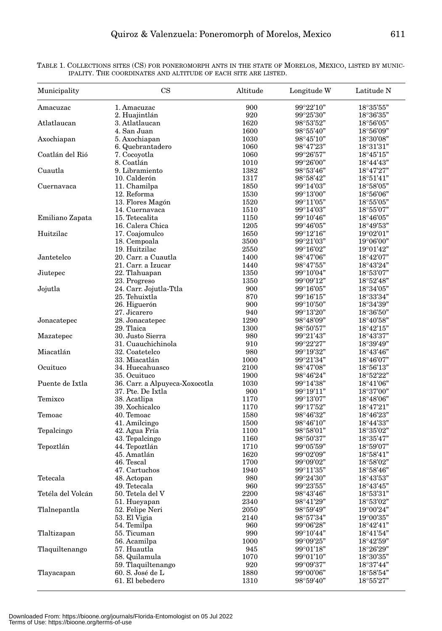| Municipality      | $\mathbf{CS}$                  | Altitude | Longitude W                              | Latitude N                               |
|-------------------|--------------------------------|----------|------------------------------------------|------------------------------------------|
| Amacuzac          | 1. Amacuzac                    | 900      | 99°22'10"                                | 18°35'55"                                |
|                   | 2. Huajintlán                  | 920      | $99^{\circ}25'30"$                       | 18°36'35"                                |
| Atlatlaucan       | 3. Atlatlaucan                 | 1620     | $98^{\circ}53'52"$                       | $18^{\circ}56'05"$                       |
|                   | 4. San Juan                    | 1600     | $98^{\circ}55'40"$                       | 18°56'09"                                |
| Axochiapan        | 5. Axochiapan                  | 1030     | $98^{\circ}45'10"$                       | 18°30'08"                                |
|                   | 6. Quebrantadero               | 1060     | $98^{\circ}47'23"$                       | $18^{\circ}31'31"$                       |
| Coatlán del Rió   | 7. Cocoyotla                   | 1060     | $99^{\circ}26'57"$                       | $18^{\circ}45'15"$                       |
|                   | 8. Coatlán                     | 1010     | $99^{\circ}26'00"$                       | $18^{\circ}44'43"$                       |
| Cuautla           | 9. Libramiento                 | 1382     | $98^{\circ}53'46"$                       | $18^{\circ}47'27"$                       |
|                   | 10. Calderón                   | 1317     | $98^{\circ}58^{\prime}42^{\prime\prime}$ | 18°51'41"                                |
| Cuernavaca        | 11. Chamilpa                   | 1850     | 99°14'03"                                | $18^{\circ}58'05"$                       |
|                   | 12. Reforma                    | 1530     | $99^{\circ}13'00"$                       | $18^{\circ}56'06"$                       |
|                   | 13. Flores Magón               | 1520     | 99°11'05"                                | $18^{\circ}55'05"$                       |
|                   | 14. Cuernavaca                 | 1510     | $99^{\circ}14'03"$                       | $18^{\circ}55'07"$                       |
| Emiliano Zapata   | 15. Tetecalita                 | 1150     | $99^{\circ}10'46"$                       | $18^{\circ}46'05"$                       |
|                   | 16. Calera Chica               | 1205     | $99^{\circ}46'05"$                       | $18^{\circ}49'53"$                       |
| Huitzilac         | 17. Coajomulco                 | 1650     | $99^{\circ}12'16"$                       | $19^{\circ}02'01"$                       |
|                   | 18. Cempoala                   | 3500     | $99^{\circ}21'03"$                       | $19^{\circ}06'00"$                       |
|                   | 19. Huitzilac                  | 2550     | $99^{\circ}16'02"$                       | $19^{\circ}01'42"$                       |
| Jantetelco        | 20. Carr. a Cuautla            | 1400     | $98^{\circ}47'06"$                       | $18^{\circ}42'07"$                       |
|                   | 21. Carr. a Izucar             | 1440     | $98^{\circ}47'55"$                       | 18°43'24"                                |
| Jiutepec          | 22. Tlahuapan                  | 1350     | $99^{\circ}10'04"$                       | 18°53'07"                                |
|                   | 23. Progreso                   | 1350     | 99°09'12"                                | 18°52'48"                                |
| Jojutla           | 24. Carr. Jojutla-Ttla         | 900      | $99^{\circ}16'05"$                       | 18°34'05"                                |
|                   | 25. Tehuixtla                  | 870      | $99^{\circ}16'15"$                       | 18°33'34"                                |
|                   | 26. Higuerón                   | 900      | $99^{\circ}10'50"$                       | 18°34'39"                                |
|                   | 27. Jicarero                   |          |                                          | 18°36'50"                                |
|                   |                                | 940      | $99^{\circ}13'20"$                       |                                          |
| Jonacatepec       | 28. Jonacatepec                | 1290     | $98^{\circ}48'09"$                       | 18°40'58"                                |
|                   | 29. Tlaica                     | 1300     | 98°50'57"                                | 18°42'15"                                |
| Mazatepec         | 30. Justo Sierra               | 980      | $99^{\circ}21'43"$                       | $18^{\circ}43'37"$                       |
|                   | 31. Cuauchichinola             | 910      | 99°22'27"                                | 18°39'49"                                |
| Miacatlán         | 32. Coatetelco                 | 980      | $99^{\circ}19'32"$                       | $18^{\circ}43'46"$                       |
|                   | 33. Miacatlán                  | 1000     | 99°21'34"                                | $18^{\circ}46'07"$                       |
| Ocuituco          | 34. Huecahuasco                | 2100     | 98°47'08"                                | $18^{\circ}56'13"$                       |
|                   | 35. Ocuituco                   | 1900     | $98^{\circ}46^{\prime}24^{\prime\prime}$ | 18°52'22"                                |
| Puente de Ixtla   | 36. Carr. a Alpuyeca-Xoxocotla | 1030     | $99^{\circ}14'38"$                       | $18^{\circ}41'06"$                       |
|                   | 37. Pte. De Ixtla              | 900      | $99^{\circ}19'11"$                       | 18°37'00"                                |
| Temixco           | 38. Acatlipa                   | 1170     | $99^{\circ}13'07"$                       | $18^{\circ}48'06"$                       |
|                   | 39. Xochicalco                 | 1170     | $99^{\circ}17'52"$                       | $18^{\circ}47'21"$                       |
| Temoac            | 40. Temoac                     | 1580     | $98^{\circ}46'32"$                       | $18^{\circ}46^{\prime}23^{\prime\prime}$ |
|                   | 41. Amilcingo                  | 1500     | 98°46'10"                                | $18^{\circ}44'33"$                       |
| Tepalcingo        | 42. Agua Fría                  | 1100     | $98^{\circ}58'01"$                       | 18°35'02"                                |
|                   | 43. Tepalcingo                 | 1160     | 98°50'37"                                | 18°35'47"                                |
| Tepoztlán         | 44. Tepoztlán                  | 1710     | $99^{\circ}05'59"$                       | 18°59'07"                                |
|                   | 45. Amatlán                    | 1620     | 99°02'09"                                | $18^{\circ}58'41"$                       |
|                   | 46. Tescal                     | 1700     | 99°09'02"                                | 18°58'02"                                |
|                   | 47. Cartuchos                  | 1940     | 99°11'35"                                | $18^{\circ}58'46"$                       |
| Tetecala          | 48. Actopan                    | 980      | $99^{\circ}24'30"$                       | $18^{\circ}43'53"$                       |
|                   | 49. Tetecala                   | 960      | 99°23'55"                                | $18^{\circ}43'45"$                       |
| Tetéla del Volcán | 50. Tetela del V               | 2200     | $98^{\circ}43'46"$                       | $18^{\circ}53'31"$                       |
|                   | 51. Hueyapan                   | 2340     | $98^{\circ}41'29"$                       | $18^{\circ}53'02"$                       |
| Tlalnepantla      | 52. Felipe Neri                | 2050     | 98°59'49"                                | $19^{\circ}00^{\prime}24"$               |
|                   | 53. El Vigia                   | 2140     | 98°57'34"                                | $19^{\circ}00'35"$                       |
|                   | 54. Temilpa                    | 960      | $99^{\circ}06^{\prime}28"$               | $18^{\circ}42'41"$                       |
| Tlaltizapan       | 55. Ticuman                    | 990      | $99^{\circ}10'44"$                       | $18^{\circ}41'54"$                       |
|                   | 56. Acamilpa                   | 1000     | $99^{\circ}09^{\prime}25"$               | $18^{\circ}42'59"$                       |
| Tlaquiltenango    | 57. Huautla                    | 945      | $99^{\circ}01'18"$                       | 18°26'29"                                |
|                   | 58. Quilamula                  | 1070     | $99^{\circ}01'10"$                       | 18°30'35"                                |
|                   | 59. Tlaquiltenango             | 920      | $99^{\circ}09'37"$                       | 18°37'44"                                |
| Tlayacapan        | 60. S. José de L               | 1880     | $99^{\circ}00'06"$                       | $18^{\circ}58'54"$                       |
|                   | 61. El bebedero                | 1310     | $98^{\circ}59'40"$                       | $18^\circ 55'27"$                        |
|                   |                                |          |                                          |                                          |

TABLE 1. COLLECTIONS SITES (CS) FOR PONEROMORPH ANTS IN THE STATE OF MORELOS, MEXICO, LISTED BY MUNIC-IPALITY. THE COORDINATES AND ALTITUDE OF EACH SITE ARE LISTED.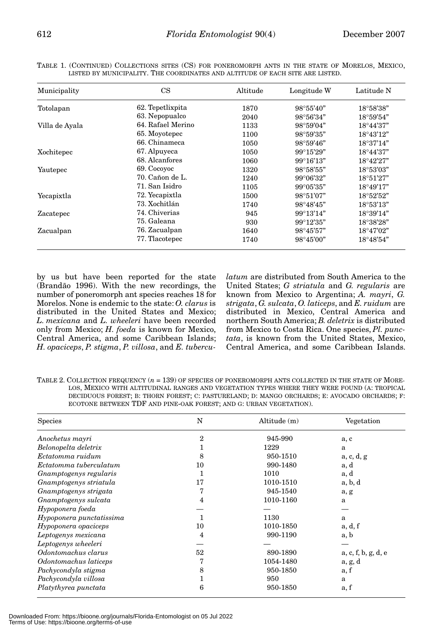| Municipality   | CS                | Altitude | Longitude W        | Latitude N         |
|----------------|-------------------|----------|--------------------|--------------------|
| Totolapan      | 62. Tepetlixpita  | 1870     | $98^{\circ}55'40"$ | 18°58'38"          |
|                | 63. Nepopualco    | 2040     | $98^{\circ}56'34"$ | 18°59'54"          |
| Villa de Ayala | 64. Rafael Merino | 1133     | $98^{\circ}59'04"$ | $18^{\circ}44'37"$ |
|                | 65. Moyotepec     | 1100     | $98^{\circ}59'35"$ | $18^{\circ}43'12"$ |
|                | 66. Chinameca     | 1050     | $98^{\circ}59'46"$ | 18°37'14"          |
| Xochitepec     | 67. Alpuyeca      | 1050     | $99^{\circ}15'29"$ | $18^{\circ}44'37"$ |
|                | 68. Alcanfores    | 1060     | $99^{\circ}16'13"$ | 18°42'27"          |
| Yautepec       | 69. Cocoyoc       | 1320     | $98^{\circ}58'55"$ | $18^{\circ}53'03"$ |
|                | 70. Cañon de L.   | 1240     | $99^{\circ}06'32"$ | 18°51'27"          |
|                | 71. San Isidro    | 1105     | $99^{\circ}05'35"$ | $18^{\circ}49'17"$ |
| Yecapixtla     | 72. Yecapixtla    | 1500     | 98°51'07"          | 18°52'52"          |
|                | 73. Xochitlán     | 1740     | $98^{\circ}48'45"$ | 18°53'13"          |
| Zacatepec      | 74. Chiverias     | 945      | $99^{\circ}13'14"$ | 18°39'14"          |
|                | 75. Galeana       | 930      | $99^{\circ}12'35"$ | 18°38'28"          |
| Zacualpan      | 76. Zacualpan     | 1640     | $98^{\circ}45'57"$ | 18°47'02"          |
|                | 77. Tlacotepec    | 1740     | $98^{\circ}45'00"$ | $18^{\circ}48'54"$ |

TABLE 1. (CONTINUED) COLLECTIONS SITES (CS) FOR PONEROMORPH ANTS IN THE STATE OF MORELOS, MEXICO, LISTED BY MUNICIPALITY. THE COORDINATES AND ALTITUDE OF EACH SITE ARE LISTED.

by us but have been reported for the state (Brandão 1996). With the new recordings, the number of poneromorph ant species reaches 18 for Morelos. None is endemic to the state: *O. clarus* is distributed in the United States and Mexico; *L. mexicana* and *L. wheeleri* have been recorded only from Mexico; *H. foeda* is known for Mexico, Central America, and some Caribbean Islands; *H. opaciceps*, *P. stigma*, *P. villosa*, and *E. tubercu-* *latum* are distributed from South America to the United States; *G striatula* and *G. regularis* are known from Mexico to Argentina; *A. mayri*, *G. strigata*, *G. sulcata*, *O. laticeps*, and *E. ruidum* are distributed in Mexico, Central America and northern South America; *B. deletrix* is distributed from Mexico to Costa Rica. One species, *Pl. punctata*, is known from the United States, Mexico, Central America, and some Caribbean Islands.

TABLE 2. COLLECTION FREQUENCY  $(n = 139)$  OF SPECIES OF PONEROMORPH ANTS COLLECTED IN THE STATE OF MORE-LOS, MEXICO WITH ALTITUDINAL RANGES AND VEGETATION TYPES WHERE THEY WERE FOUND (A: TROPICAL DECIDUOUS FOREST; B: THORN FOREST; C: PASTURELAND; D: MANGO ORCHARDS; E: AVOCADO ORCHARDS; F: ECOTONE BETWEEN TDF AND PINE-OAK FOREST; AND G: URBAN VEGETATION).

| <b>Species</b>           | N              | Altitude (m) | Vegetation          |  |
|--------------------------|----------------|--------------|---------------------|--|
| Anochetus mayri          | $\mathfrak{D}$ | 945-990      | a, c                |  |
| Belonopelta deletrix     |                | 1229         | a                   |  |
| Ectatomma ruidum         | 8              | 950-1510     | a, c, d, g          |  |
| Ectatomma tuberculatum   | 10             | 990-1480     | a, d                |  |
| Gnamptogenys regularis   |                | 1010         | a, d                |  |
| Gnamptogenys striatula   | 17             | 1010-1510    | a, b, d             |  |
| Gnamptogenys strigata    |                | 945-1540     | a, g                |  |
| Gnamptogenys sulcata     | 4              | 1010-1160    | a                   |  |
| Hypoponera foeda         |                |              |                     |  |
| Hypoponera punctatissima |                | 1130         | a                   |  |
| Hypoponera opaciceps     | 10             | 1010-1850    | a, d, f             |  |
| Leptogenys mexicana      | 4              | 990-1190     | a, b                |  |
| Leptogenys wheeleri      |                |              |                     |  |
| Odontomachus clarus      | 52             | 890-1890     | a, c, f, b, g, d, e |  |
| Odontomachus laticeps    | 7              | 1054-1480    | a, g, d             |  |
| Pachycondyla stigma      | 8              | 950-1850     | a, f                |  |
| Pachycondyla villosa     |                | 950          | a                   |  |
| Platythyrea punctata     | 6              | 950-1850     | a, f                |  |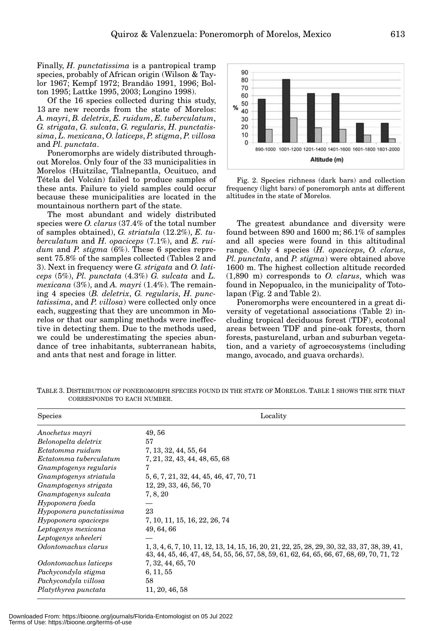Finally, *H. punctatissima* is a pantropical tramp species, probably of African origin (Wilson & Taylor 1967; Kempf 1972; Brandão 1991, 1996; Bolton 1995; Lattke 1995, 2003; Longino 1998).

Of the 16 species collected during this study, 13 are new records from the state of Morelos: *A. mayri*, *B. deletrix*, *E. ruidum*, *E. tuberculatum*, *G. strigata*, *G. sulcata*, *G. regularis*, *H. punctatissima*, *L. mexicana*, *O. laticeps*, *P. stigma*, *P. villosa* and *Pl. punctata*.

Poneromorphs are widely distributed throughout Morelos. Only four of the 33 municipalities in Morelos (Huitzilac, Tlalnepantla, Ocuituco, and Tétela del Volcán) failed to produce samples of these ants. Failure to yield samples could occur because these municipalities are located in the mountainous northern part of the state.

The most abundant and widely distributed species were *O. clarus* (37.4% of the total number of samples obtained), *G. striatula* (12.2%), *E. tuberculatum* and *H. opaciceps* (7.1%), and *E. ruidum* and *P. stigma* (6%). These 6 species represent 75.8% of the samples collected (Tables 2 and 3). Next in frequency were *G. strigata* and *O. laticeps* (5%), *Pl. punctata* (4.3%) *G. sulcata* and *L. mexicana* (3%), and *A. mayri* (1.4%). The remaining 4 species (*B. deletrix*, *G. regularis*, *H. punctatissima*, and *P. villosa*) were collected only once each, suggesting that they are uncommon in Morelos or that our sampling methods were ineffective in detecting them. Due to the methods used, we could be underestimating the species abundance of tree inhabitants, subterranean habits, and ants that nest and forage in litter.



Fig. 2. Species richness (dark bars) and collection frequency (light bars) of poneromorph ants at different altitudes in the state of Morelos.

The greatest abundance and diversity were found between 890 and 1600 m; 86.1% of samples and all species were found in this altitudinal range. Only 4 species (*H. opaciceps*, *O. clarus*, *Pl. punctata*, and *P. stigma*) were obtained above 1600 m. The highest collection altitude recorded (1,890 m) corresponds to *O. clarus*, which was found in Nepopualco, in the municipality of Totolapan (Fig. 2 and Table 2).

Poneromorphs were encountered in a great diversity of vegetational associations (Table 2) including tropical deciduous forest (TDF), ecotonal areas between TDF and pine-oak forests, thorn forests, pastureland, urban and suburban vegetation, and a variety of agroecosystems (including mango, avocado, and guava orchards).

| <b>Species</b>           | Locality                                                                                                                                                                                     |  |
|--------------------------|----------------------------------------------------------------------------------------------------------------------------------------------------------------------------------------------|--|
| Anochetus mayri          | 49,56                                                                                                                                                                                        |  |
| Belonopelta deletrix     | 57                                                                                                                                                                                           |  |
| Ectatomma ruidum         | 7, 13, 32, 44, 55, 64                                                                                                                                                                        |  |
| Ectatomma tuberculatum   | 7, 21, 32, 43, 44, 48, 65, 68                                                                                                                                                                |  |
| Gnamptogenys regularis   | 7                                                                                                                                                                                            |  |
| Gnamptogenys striatula   | 5, 6, 7, 21, 32, 44, 45, 46, 47, 70, 71                                                                                                                                                      |  |
| Gnamptogenys strigata    | 12, 29, 33, 46, 56, 70                                                                                                                                                                       |  |
| Gnamptogenys sulcata     | 7, 8, 20                                                                                                                                                                                     |  |
| Hypoponera foeda         |                                                                                                                                                                                              |  |
| Hypoponera punctatissima | 23                                                                                                                                                                                           |  |
| Hypoponera opaciceps     | 7, 10, 11, 15, 16, 22, 26, 74                                                                                                                                                                |  |
| Leptogenys mexicana      | 49, 64, 66                                                                                                                                                                                   |  |
| Leptogenys wheeleri      |                                                                                                                                                                                              |  |
| Odontomachus clarus      | 1, 3, 4, 6, 7, 10, 11, 12, 13, 14, 15, 16, 20, 21, 22, 25, 28, 29, 30, 32, 33, 37, 38, 39, 41,<br>43, 44, 45, 46, 47, 48, 54, 55, 56, 57, 58, 59, 61, 62, 64, 65, 66, 67, 68, 69, 70, 71, 72 |  |
| Odontomachus laticeps    | 7, 32, 44, 65, 70                                                                                                                                                                            |  |
| Pachycondyla stigma      | 6, 11, 55                                                                                                                                                                                    |  |
| Pachycondyla villosa     | 58                                                                                                                                                                                           |  |
| Platythyrea punctata     | 11, 20, 46, 58                                                                                                                                                                               |  |

TABLE 3. DISTRIBUTION OF PONEROMORPH SPECIES FOUND IN THE STATE OF MORELOS. TABLE 1 SHOWS THE SITE THAT CORRESPONDS TO EACH NUMBER.

Downloaded From: https://bioone.org/journals/Florida-Entomologist on 05 Jul 2022 Terms of Use: https://bioone.org/terms-of-use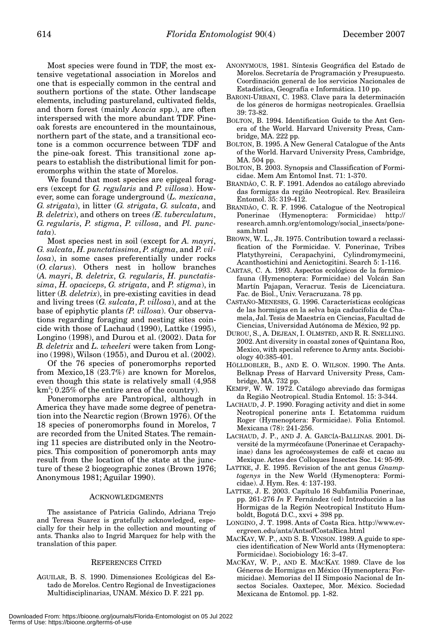Most species were found in TDF, the most extensive vegetational association in Morelos and one that is especially common in the central and southern portions of the state. Other landscape elements, including pastureland, cultivated fields, and thorn forest (mainly *Acacia* spp.), are often interspersed with the more abundant TDF. Pineoak forests are encountered in the mountainous, northern part of the state, and a transitional ecotone is a common occurrence between TDF and the pine-oak forest. This transitional zone appears to establish the distributional limit for poneromorphs within the state of Morelos.

We found that most species are epigeal foragers (except for *G. regularis* and *P. villosa*). However, some can forage underground (*L. mexicana*, *G. strigata*), in litter (*G. strigata*, *G. sulcata*, and *B. deletrix*), and others on trees *(E. tuberculatum*, *G. regularis*, *P. stigma*, *P. villosa*, and *Pl. punctata*).

Most species nest in soil (except for *A. mayri*, *G. sulcata*, *H. punctatissima*, *P. stigma*, and *P. villosa*), in some cases preferentially under rocks (*O. clarus*). Others nest in hollow branches (*A. mayri*, *B. deletrix*, *G. regularis*, *H. punctatissima*, *H. opaciceps*, *G. strigata*, and *P. stigma*), in litter (*B. deletrix*), in pre-existing cavities in dead and living trees (*G. sulcata*, *P. villosa*), and at the base of epiphytic plants *(P. villosa*). Our observations regarding foraging and nesting sites coincide with those of Lachaud (1990), Lattke (1995), Longino (1998), and Durou et al. (2002). Data for *B. deletrix* and *L. wheeleri* were taken from Longino (1998), Wilson (1955), and Durou et al. (2002).

Of the 76 species of poneromorphs reported from Mexico,18 (23.7%) are known for Morelos, even though this state is relatively small (4,958  $km^2$ ; 0.25% of the entire area of the country).

Poneromorphs are Pantropical, although in America they have made some degree of penetration into the Nearctic region (Brown 1976). Of the 18 species of poneromorphs found in Morelos, 7 are recorded from the United States. The remaining 11 species are distributed only in the Neotropics. This composition of poneromorph ants may result from the location of the state at the juncture of these 2 biogeographic zones (Brown 1976; Anonymous 1981; Aguilar 1990).

#### ACKNOWLEDGMENTS

The assistance of Patricia Galindo, Adriana Trejo and Teresa Suarez is gratefully acknowledged, especially for their help in the collection and mounting of ants. Thanks also to Ingrid Marquez for help with the translation of this paper.

#### REFERENCES CITED

AGUILAR, B. S. 1990. Dimensiones Ecológicas del Estado de Morelos. Centro Regional de Investigaciones Multidisciplinarias, UNAM. México D. F. 221 pp.

- ANONYMOUS, 1981. Síntesis Geográfica del Estado de Morelos. Secretaría de Programación y Presupuesto. Coordinación general de los servicios Nacionales de Estadística, Geografía e Informática. 110 pp.
- BARONI-URBANI, C. 1983. Clave para la determinación de los géneros de hormigas neotropicales. Graellsia 39: 73-82.
- BOLTON, B. 1994. Identification Guide to the Ant Genera of the World. Harvard University Press, Cambridge, MA. 222 pp.
- BOLTON, B. 1995. A New General Catalogue of the Ants of the World. Harvard University Press, Cambridge, MA. 504 pp.
- BOLTON, B. 2003. Synopsis and Classification of Formicidae. Mem Am Entomol Inst. 71: 1-370.
- BRANDÃO, C. R. F. 1991. Adendos ao catálogo abreviado das formigas da região Neotropical. Rev. Brasileira Entomol. 35: 319-412.
- BRANDÃO, C. R. F. 1996. Catalogue of the Neotropical Ponerinae (Hymenoptera: Formicidae) http:// research.amnh.org/entomology/social\_insects/ponesam.html
- BROWN, W. L., JR. 1975. Contribution toward a reclassification of the Formicidae. V. Ponerinae, Tribes Platythyreini, Cerapachyini, Cylindromymecini, Acanthostichini and Aenictogitini. Search 5: 1-116.
- CARTAS, C. A. 1993. Aspectos ecológicos de la formicofauna (Hymenoptera: Formicidae) del Volcán San Martín Pajapan, Veracruz. Tesis de Licenciatura. Fac. de Biol., Univ. Veracruzana. 78 pp.
- CASTAÑO-MENESES, G. 1996. Características ecológicas de las hormigas en la selva baja caducifolia de Chamela, Jal. Tesis de Maestría en Ciencias, Facultad de Ciencias, Universidad Autónoma de México, 92 pp.
- DUROU, S., A. DEJEAN, I. OLMSTED, AND R. R. SNELLING. 2002. Ant diversity in coastal zones of Quintana Roo, Mexico, with special reference to Army ants. Sociobiology 40:385-401.
- HÖLLDOBLER, B., AND E. O. WILSON. 1990. The Ants. Belknap Press of Harvard University Press, Cambridge, MA. 732 pp.
- KEMPF, W. W. 1972. Catálogo abreviado das formigas da Região Neotropical. Studia Entomol. 15: 3-344.
- LACHAUD, J. P. 1990. Foraging activity and diet in some Neotropical ponerine ants I. Ectatomma ruidum Roger (Hymenoptera: Formicidae). Folia Entomol. Mexicana (78): 241-256.
- LACHAUD, J. P., AND J. A. GARCÍA-BALLINAS. 2001. Diversité de la myrmécofaune (Ponerinae et Cerapachyinae) dans les agroécosystemes de café et cacao au Mexique. Actes des Colloques Insectes Soc. 14: 95-99.
- LATTKE, J. E. 1995. Revision of the ant genus *Gnamptogenys* in the New World (Hymenoptera: Formicidae). J. Hym. Res. 4: 137-193.
- LATTKE, J. E. 2003. Capítulo 16 Subfamilia Ponerinae, pp. 261-276 *In* F. Fernández (ed) Introducción a las Hormigas de la Región Neotropical Instituto Humboldt, Bogotá D.C., xxvi + 398 pp.
- LONGINO, J. T. 1998. Ants of Costa Rica. http://www.evergreen.edu/ants/AntsofCostaRica.html
- MACKAY, W. P., AND S. B. VINSON. 1989. A guide to species identification of New World ants (Hymenoptera: Formicidae). Sociobiology 16: 3-47.
- MACKAY, W. P., AND E. MACKAY. 1989. Clave de los Géneros de Hormigas en México (Hymenoptera: Formicidae). Memorias del II Simposio Nacional de Insectos Sociales. Oaxtepec, Mor. México. Sociedad Mexicana de Entomol. pp. 1-82.